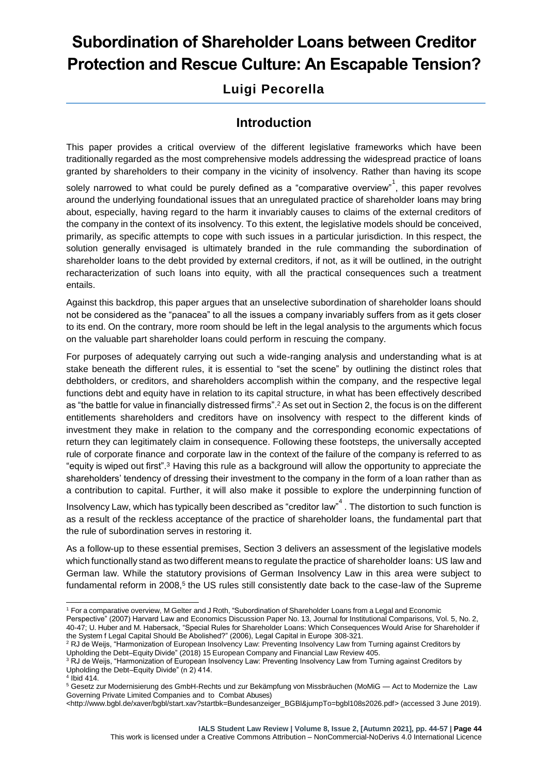# **Subordination of Shareholder Loans between Creditor Protection and Rescue Culture: An Escapable Tension?**

# **Luigi Pecorella**

## **Introduction**

This paper provides a critical overview of the different legislative frameworks which have been traditionally regarded as the most comprehensive models addressing the widespread practice of loans granted by shareholders to their company in the vicinity of insolvency. Rather than having its scope

solely narrowed to what could be purely defined as a "comparative overview"<sup>1</sup>, this paper revolves around the underlying foundational issues that an unregulated practice of shareholder loans may bring about, especially, having regard to the harm it invariably causes to claims of the external creditors of the company in the context of its insolvency. To this extent, the legislative models should be conceived, primarily, as specific attempts to cope with such issues in a particular jurisdiction. In this respect, the solution generally envisaged is ultimately branded in the rule commanding the subordination of shareholder loans to the debt provided by external creditors, if not, as it will be outlined, in the outright recharacterization of such loans into equity, with all the practical consequences such a treatment entails.

Against this backdrop, this paper argues that an unselective subordination of shareholder loans should not be considered as the "panacea" to all the issues a company invariably suffers from as it gets closer to its end. On the contrary, more room should be left in the legal analysis to the arguments which focus on the valuable part shareholder loans could perform in rescuing the company.

For purposes of adequately carrying out such a wide-ranging analysis and understanding what is at stake beneath the different rules, it is essential to "set the scene" by outlining the distinct roles that debtholders, or creditors, and shareholders accomplish within the company, and the respective legal functions debt and equity have in relation to its capital structure, in what has been effectively described as "the battle for value in financially distressed firms".<sup>2</sup> As set out in Section 2, the focus is on the different entitlements shareholders and creditors have on insolvency with respect to the different kinds of investment they make in relation to the company and the corresponding economic expectations of return they can legitimately claim in consequence. Following these footsteps, the universally accepted rule of corporate finance and corporate law in the context of the failure of the company is referred to as "equity is wiped out first".<sup>3</sup> Having this rule as a background will allow the opportunity to appreciate the shareholders' tendency of dressing their investment to the company in the form of a loan rather than as a contribution to capital. Further, it will also make it possible to explore the underpinning function of

Insolvency Law, which has typically been described as "creditor law"<sup>4</sup>. The distortion to such function is as a result of the reckless acceptance of the practice of shareholder loans, the fundamental part that the rule of subordination serves in restoring it.

As a follow-up to these essential premises, Section 3 delivers an assessment of the legislative models which functionally stand as two different means to regulate the practice of shareholder loans: US law and German law. While the statutory provisions of German Insolvency Law in this area were subject to fundamental reform in 2008,<sup>5</sup> the US rules still consistently date back to the case-law of the Supreme

-

<sup>1</sup> For a comparative overview, M Gelter and J Roth, "Subordination of Shareholder Loans from a Legal and Economic Perspective" (2007) Harvard Law and Economics Discussion Paper No. 13, Journal for Institutional Comparisons, Vol. 5, No. 2, 40-47; U. Huber and M. Habersack, "Special Rules for Shareholder Loans: Which Consequences Would Arise for Shareholder if the System f Legal Capital Should Be Abolished?" (2006), Legal Capital in Europe 308-321.

 $^2$  RJ de Weijs, "Harmonization of European Insolvency Law: Preventing Insolvency Law from Turning against Creditors by Upholding the Debt–Equity Divide" (2018) 15 European Company and Financial Law Review 405.

<sup>&</sup>lt;sup>3</sup> RJ de Weijs, "Harmonization of European Insolvency Law: Preventing Insolvency Law from Turning against Creditors by Upholding the Debt–Equity Divide" (n 2) 414.

<sup>4</sup> Ibid 414.

<sup>5</sup> Gesetz zur Modernisierung des GmbH-Rechts und zur Bekämpfung von Missbräuchen (MoMiG — Act to Modernize the Law Governing Private Limited Companies and to Combat Abuses)

[<sup>&</sup>lt;http://www.bgbl.de/xaver/bgbl/start.xav?startbk=Bundesanzeiger\\_BGBl&jumpTo=bgbl108s2026.pdf>](http://www.bgbl.de/xaver/bgbl/start.xav?startbk=Bundesanzeiger_BGBl&jumpTo=bgbl108s2026.pdf) (accessed 3 June 2019).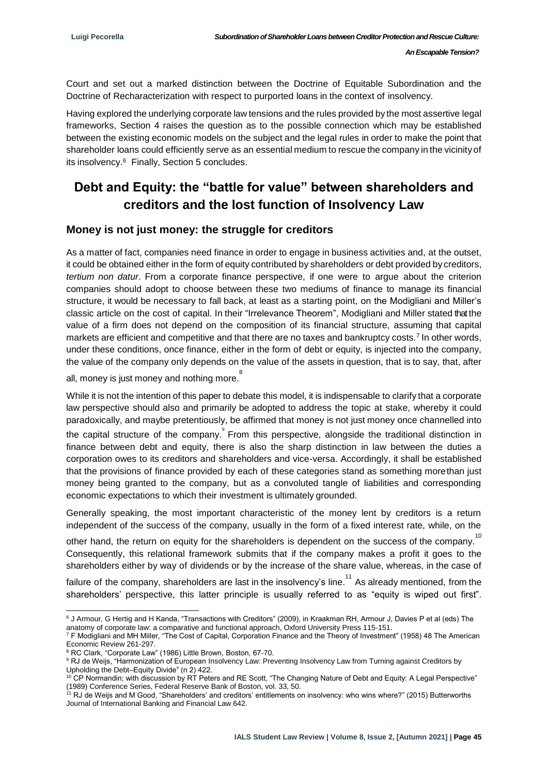Court and set out a marked distinction between the Doctrine of Equitable Subordination and the Doctrine of Recharacterization with respect to purported loans in the context of insolvency.

Having explored the underlying corporate law tensions and the rules provided by the most assertive legal frameworks, Section 4 raises the question as to the possible connection which may be established between the existing economic models on the subject and the legal rules in order to make the point that shareholder loans could efficiently serve as an essential medium to rescue the company in the vicinity of its insolvency.<sup>6</sup> Finally, Section 5 concludes.

# **Debt and Equity: the "battle for value" between shareholders and creditors and the lost function of Insolvency Law**

#### **Money is not just money: the struggle for creditors**

As a matter of fact, companies need finance in order to engage in business activities and, at the outset, it could be obtained either in the form of equity contributed by shareholders or debt provided by creditors, *tertium non datur*. From a corporate finance perspective, if one were to argue about the criterion companies should adopt to choose between these two mediums of finance to manage its financial structure, it would be necessary to fall back, at least as a starting point, on the Modigliani and Miller's classic article on the cost of capital. In their "Irrelevance Theorem", Modigliani and Miller stated that the value of a firm does not depend on the composition of its financial structure, assuming that capital markets are efficient and competitive and that there are no taxes and bankruptcy costs.<sup>7</sup> In other words, under these conditions, once finance, either in the form of debt or equity, is injected into the company, the value of the company only depends on the value of the assets in question, that is to say, that, after

all, money is just money and nothing more.<sup>8</sup>

While it is not the intention of this paper to debate this model, it is indispensable to clarify that a corporate law perspective should also and primarily be adopted to address the topic at stake, whereby it could paradoxically, and maybe pretentiously, be affirmed that money is not just money once channelled into the capital structure of the company. From this perspective, alongside the traditional distinction in finance between debt and equity, there is also the sharp distinction in law between the duties a corporation owes to its creditors and shareholders and vice-versa. Accordingly, it shall be established that the provisions of finance provided by each of these categories stand as something morethan just money being granted to the company, but as a convoluted tangle of liabilities and corresponding economic expectations to which their investment is ultimately grounded.

Generally speaking, the most important characteristic of the money lent by creditors is a return independent of the success of the company, usually in the form of a fixed interest rate, while, on the

other hand, the return on equity for the shareholders is dependent on the success of the company.<sup>10</sup> Consequently, this relational framework submits that if the company makes a profit it goes to the shareholders either by way of dividends or by the increase of the share value, whereas, in the case of

failure of the company, shareholders are last in the insolvency's line.<sup>11</sup> As already mentioned, from the shareholders' perspective, this latter principle is usually referred to as "equity is wiped out first".

<sup>7</sup> F Modigliani and MH Miller, "The Cost of Capital, Corporation Finance and the Theory of Investment" (1958) 48 The American Economic Review 261-297.

<sup>-</sup> $6$  J Armour, G Hertig and H Kanda, "Transactions with Creditors" (2009), in Kraakman RH, Armour J, Davies P et al (eds) The anatomy of corporate law: a comparative and functional approach, Oxford University Press 115-151.

<sup>8</sup> RC Clark, "Corporate Law" (1986) Little Brown, Boston, 67-70.

<sup>&</sup>lt;sup>9</sup> RJ de Weijs, "Harmonization of European Insolvency Law: Preventing Insolvency Law from Turning against Creditors by Upholding the Debt–Equity Divide" (n 2) 422.

<sup>&</sup>lt;sup>10</sup> CP Normandin; with discussion by RT Peters and RE Scott, "The Changing Nature of Debt and Equity: A Legal Perspective" (1989) Conference Series, Federal Reserve Bank of Boston, vol. 33, 50.

<sup>11</sup> RJ de Weijs and M Good, "Shareholders' and creditors' entitlements on insolvency: who wins where?" (2015) Butterworths Journal of International Banking and Financial Law 642.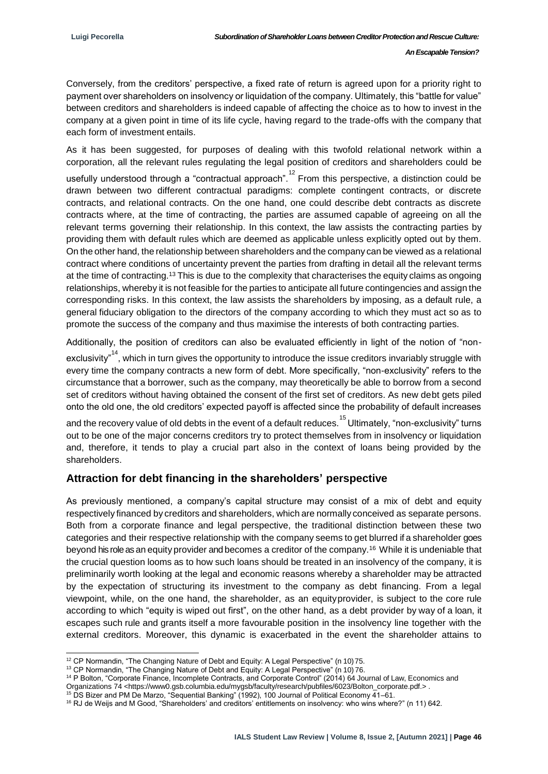Conversely, from the creditors' perspective, a fixed rate of return is agreed upon for a priority right to payment over shareholders on insolvency or liquidation of the company. Ultimately, this "battle for value" between creditors and shareholders is indeed capable of affecting the choice as to how to invest in the company at a given point in time of its life cycle, having regard to the trade-offs with the company that each form of investment entails.

As it has been suggested, for purposes of dealing with this twofold relational network within a corporation, all the relevant rules regulating the legal position of creditors and shareholders could be

usefully understood through a "contractual approach".<sup>12</sup> From this perspective, a distinction could be drawn between two different contractual paradigms: complete contingent contracts, or discrete contracts, and relational contracts. On the one hand, one could describe debt contracts as discrete contracts where, at the time of contracting, the parties are assumed capable of agreeing on all the relevant terms governing their relationship. In this context, the law assists the contracting parties by providing them with default rules which are deemed as applicable unless explicitly opted out by them. On the other hand, the relationship between shareholders and the company can be viewed as a relational contract where conditions of uncertainty prevent the parties from drafting in detail all the relevant terms at the time of contracting.<sup>13</sup> This is due to the complexity that characterises the equity claims as ongoing relationships, whereby it is not feasible for the parties to anticipate all future contingencies and assign the corresponding risks. In this context, the law assists the shareholders by imposing, as a default rule, a general fiduciary obligation to the directors of the company according to which they must act so as to promote the success of the company and thus maximise the interests of both contracting parties.

Additionally, the position of creditors can also be evaluated efficiently in light of the notion of "non-

exclusivity"<sup>14</sup>, which in turn gives the opportunity to introduce the issue creditors invariably struggle with every time the company contracts a new form of debt. More specifically, "non-exclusivity" refers to the circumstance that a borrower, such as the company, may theoretically be able to borrow from a second set of creditors without having obtained the consent of the first set of creditors. As new debt gets piled onto the old one, the old creditors' expected payoff is affected since the probability of default increases

and the recovery value of old debts in the event of a default reduces. <sup>15</sup> Ultimately, "non-exclusivity" turns out to be one of the major concerns creditors try to protect themselves from in insolvency or liquidation and, therefore, it tends to play a crucial part also in the context of loans being provided by the shareholders.

### **Attraction for debt financing in the shareholders' perspective**

As previously mentioned, a company's capital structure may consist of a mix of debt and equity respectively financed by creditors and shareholders, which are normally conceived as separate persons. Both from a corporate finance and legal perspective, the traditional distinction between these two categories and their respective relationship with the company seems to get blurred if a shareholder goes beyond his role as an equity provider and becomes a creditor of the company.<sup>16</sup> While it is undeniable that the crucial question looms as to how such loans should be treated in an insolvency of the company, it is preliminarily worth looking at the legal and economic reasons whereby a shareholder may be attracted by the expectation of structuring its investment to the company as debt financing. From a legal viewpoint, while, on the one hand, the shareholder, as an equityprovider, is subject to the core rule according to which "equity is wiped out first", on the other hand, as a debt provider by way of a loan, it escapes such rule and grants itself a more favourable position in the insolvency line together with the external creditors. Moreover, this dynamic is exacerbated in the event the shareholder attains to

<sup>1</sup> <sup>12</sup> CP Normandin, "The Changing Nature of Debt and Equity: A Legal Perspective" (n 10) 75.

<sup>13</sup> CP Normandin, "The Changing Nature of Debt and Equity: A Legal Perspective" (n 10) 76.

<sup>14</sup> P Bolton, "Corporate Finance, Incomplete Contracts, and Corporate Control" (2014) 64 Journal of Law, Economics and

Organizations 74 <https://www0.gsb.columbia.edu/mygsb/faculty/research/pubfiles/6023/Bolton\_corporate.pdf.> .

<sup>15</sup> DS Bizer and PM De Marzo, "Sequential Banking" (1992), 100 Journal of Political Economy 41–61.

<sup>16</sup> RJ de Weijs and M Good, "Shareholders' and creditors' entitlements on insolvency: who wins where?" (n 11) 642.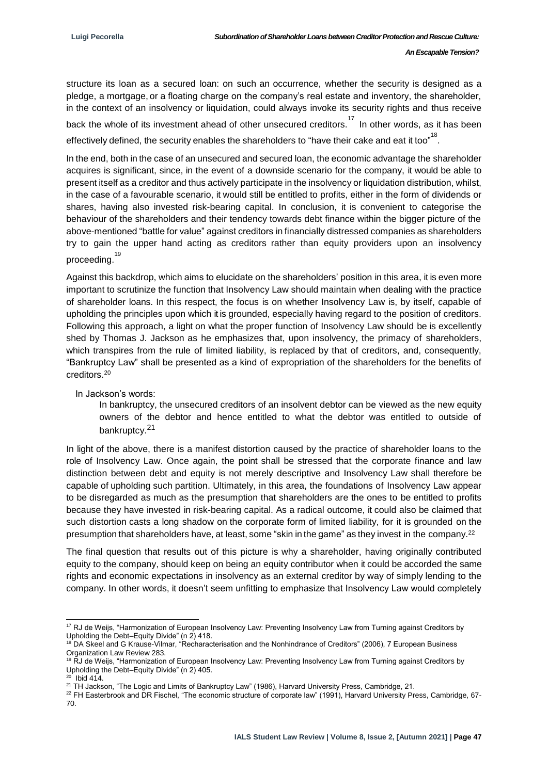structure its loan as a secured loan: on such an occurrence, whether the security is designed as a pledge, a mortgage, or a floating charge on the company's real estate and inventory, the shareholder, in the context of an insolvency or liquidation, could always invoke its security rights and thus receive

back the whole of its investment ahead of other unsecured creditors.<sup>17</sup> In other words, as it has been effectively defined, the security enables the shareholders to "have their cake and eat it too".<sup>18</sup>.

In the end, both in the case of an unsecured and secured loan, the economic advantage the shareholder acquires is significant, since, in the event of a downside scenario for the company, it would be able to present itself as a creditor and thus actively participate in the insolvency or liquidation distribution, whilst, in the case of a favourable scenario, it would still be entitled to profits, either in the form of dividends or shares, having also invested risk-bearing capital. In conclusion, it is convenient to categorise the behaviour of the shareholders and their tendency towards debt finance within the bigger picture of the above-mentioned "battle for value" against creditors in financially distressed companies as shareholders try to gain the upper hand acting as creditors rather than equity providers upon an insolvency <sup>19</sup><br>proceeding.<sup>19</sup>

Against this backdrop, which aims to elucidate on the shareholders' position in this area, it is even more important to scrutinize the function that Insolvency Law should maintain when dealing with the practice of shareholder loans. In this respect, the focus is on whether Insolvency Law is, by itself, capable of upholding the principles upon which it is grounded, especially having regard to the position of creditors. Following this approach, a light on what the proper function of Insolvency Law should be is excellently shed by Thomas J. Jackson as he emphasizes that, upon insolvency, the primacy of shareholders, which transpires from the rule of limited liability, is replaced by that of creditors, and, consequently, "Bankruptcy Law" shall be presented as a kind of expropriation of the shareholders for the benefits of creditors.<sup>20</sup>

In Jackson's words:

-

In bankruptcy, the unsecured creditors of an insolvent debtor can be viewed as the new equity owners of the debtor and hence entitled to what the debtor was entitled to outside of bankruptcy.<sup>21</sup>

In light of the above, there is a manifest distortion caused by the practice of shareholder loans to the role of Insolvency Law. Once again, the point shall be stressed that the corporate finance and law distinction between debt and equity is not merely descriptive and Insolvency Law shall therefore be capable of upholding such partition. Ultimately, in this area, the foundations of Insolvency Law appear to be disregarded as much as the presumption that shareholders are the ones to be entitled to profits because they have invested in risk-bearing capital. As a radical outcome, it could also be claimed that such distortion casts a long shadow on the corporate form of limited liability, for it is grounded on the presumption that shareholders have, at least, some "skin in the game" as they invest in the company.<sup>22</sup>

The final question that results out of this picture is why a shareholder, having originally contributed equity to the company, should keep on being an equity contributor when it could be accorded the same rights and economic expectations in insolvency as an external creditor by way of simply lending to the company. In other words, it doesn't seem unfitting to emphasize that Insolvency Law would completely

<sup>&</sup>lt;sup>17</sup> RJ de Weijs, "Harmonization of European Insolvency Law: Preventing Insolvency Law from Turning against Creditors by Upholding the Debt–Equity Divide" (n 2) 418.

<sup>&</sup>lt;sup>18</sup> DA Skeel and G Krause-Vilmar, "Recharacterisation and the Nonhindrance of Creditors" (2006), 7 European Business Organization Law Review 283.

<sup>&</sup>lt;sup>19</sup> RJ de Weijs, "Harmonization of European Insolvency Law: Preventing Insolvency Law from Turning against Creditors by Upholding the Debt–Equity Divide" (n 2) 405.  $20$  Ibid 414.

<sup>&</sup>lt;sup>21</sup> TH Jackson, "The Logic and Limits of Bankruptcy Law" (1986), Harvard University Press, Cambridge, 21.

<sup>&</sup>lt;sup>22</sup> FH Easterbrook and DR Fischel, "The economic structure of corporate law" (1991), Harvard University Press, Cambridge, 67-70.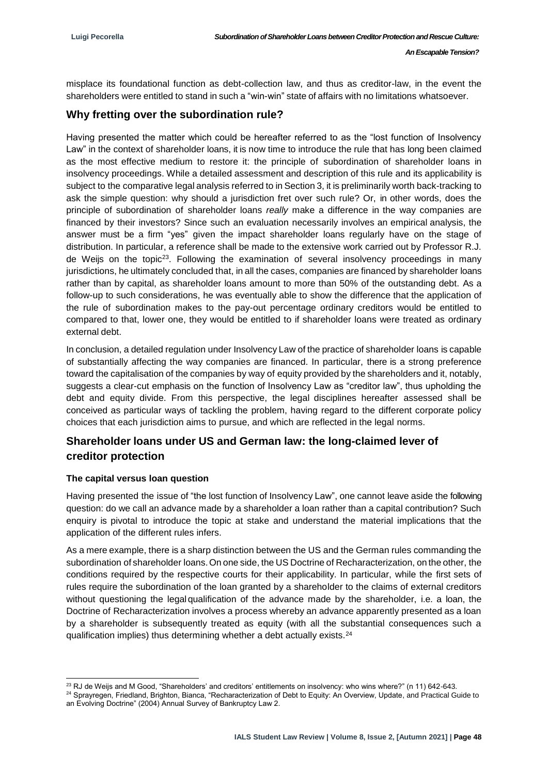misplace its foundational function as debt-collection law, and thus as creditor-law, in the event the shareholders were entitled to stand in such a "win-win" state of affairs with no limitations whatsoever.

### **Why fretting over the subordination rule?**

Having presented the matter which could be hereafter referred to as the "lost function of Insolvency Law" in the context of shareholder loans, it is now time to introduce the rule that has long been claimed as the most effective medium to restore it: the principle of subordination of shareholder loans in insolvency proceedings. While a detailed assessment and description of this rule and its applicability is subject to the comparative legal analysis referred to in Section 3, it is preliminarily worth back-tracking to ask the simple question: why should a jurisdiction fret over such rule? Or, in other words, does the principle of subordination of shareholder loans *really* make a difference in the way companies are financed by their investors? Since such an evaluation necessarily involves an empirical analysis, the answer must be a firm "yes" given the impact shareholder loans regularly have on the stage of distribution. In particular, a reference shall be made to the extensive work carried out by Professor R.J. de Weijs on the topic<sup>23</sup>. Following the examination of several insolvency proceedings in many jurisdictions, he ultimately concluded that, in all the cases, companies are financed by shareholder loans rather than by capital, as shareholder loans amount to more than 50% of the outstanding debt. As a follow-up to such considerations, he was eventually able to show the difference that the application of the rule of subordination makes to the pay-out percentage ordinary creditors would be entitled to compared to that, lower one, they would be entitled to if shareholder loans were treated as ordinary external debt.

In conclusion, a detailed regulation under Insolvency Law of the practice of shareholder loans is capable of substantially affecting the way companies are financed. In particular, there is a strong preference toward the capitalisation of the companies by way of equity provided by the shareholders and it, notably, suggests a clear-cut emphasis on the function of Insolvency Law as "creditor law", thus upholding the debt and equity divide. From this perspective, the legal disciplines hereafter assessed shall be conceived as particular ways of tackling the problem, having regard to the different corporate policy choices that each jurisdiction aims to pursue, and which are reflected in the legal norms.

### **Shareholder loans under US and German law: the long-claimed lever of creditor protection**

#### **The capital versus loan question**

Having presented the issue of "the lost function of Insolvency Law", one cannot leave aside the following question: do we call an advance made by a shareholder a loan rather than a capital contribution? Such enquiry is pivotal to introduce the topic at stake and understand the material implications that the application of the different rules infers.

As a mere example, there is a sharp distinction between the US and the German rules commanding the subordination of shareholder loans. On one side, the US Doctrine of Recharacterization, on the other, the conditions required by the respective courts for their applicability. In particular, while the first sets of rules require the subordination of the loan granted by a shareholder to the claims of external creditors without questioning the legalqualification of the advance made by the shareholder, i.e. a loan, the Doctrine of Recharacterization involves a process whereby an advance apparently presented as a loan by a shareholder is subsequently treated as equity (with all the substantial consequences such a qualification implies) thus determining whether a debt actually exists.<sup>24</sup>

<sup>-</sup><sup>23</sup> RJ de Weijs and M Good, "Shareholders' and creditors' entitlements on insolvency: who wins where?" (n 11) 642-643.

<sup>&</sup>lt;sup>24</sup> Sprayregen, Friedland, Brighton, Bianca, "Recharacterization of Debt to Equity: An Overview, Update, and Practical Guide to an Evolving Doctrine" (2004) Annual Survey of Bankruptcy Law 2.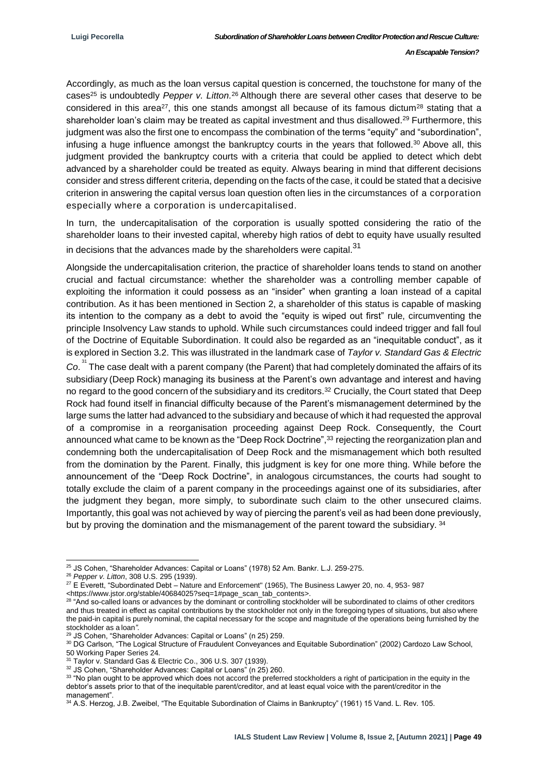Accordingly, as much as the loan versus capital question is concerned, the touchstone for many of the cases<sup>25</sup> is undoubtedly *Pepper v. Litton.*<sup>26</sup> Although there are several other cases that deserve to be considered in this area<sup>27</sup>, this one stands amongst all because of its famous dictum<sup>28</sup> stating that a shareholder loan's claim may be treated as capital investment and thus disallowed.<sup>29</sup> Furthermore, this judgment was also the first one to encompass the combination of the terms "equity" and "subordination", infusing a huge influence amongst the bankruptcy courts in the years that followed.<sup>30</sup> Above all, this judgment provided the bankruptcy courts with a criteria that could be applied to detect which debt advanced by a shareholder could be treated as equity. Always bearing in mind that different decisions consider and stress different criteria, depending on the facts of the case, it could be stated that a decisive criterion in answering the capital versus loan question often lies in the circumstances of a corporation especially where a corporation is undercapitalised.

In turn, the undercapitalisation of the corporation is usually spotted considering the ratio of the shareholder loans to their invested capital, whereby high ratios of debt to equity have usually resulted in decisions that the advances made by the shareholders were capital. $31$ 

Alongside the undercapitalisation criterion, the practice of shareholder loans tends to stand on another crucial and factual circumstance: whether the shareholder was a controlling member capable of exploiting the information it could possess as an "insider" when granting a loan instead of a capital contribution. As it has been mentioned in Section 2, a shareholder of this status is capable of masking its intention to the company as a debt to avoid the "equity is wiped out first" rule, circumventing the principle Insolvency Law stands to uphold. While such circumstances could indeed trigger and fall foul of the Doctrine of Equitable Subordination. It could also be regarded as an "inequitable conduct", as it is explored in Section 3.2. This was illustrated in the landmark case of *Taylor v. Standard Gas & Electric*  Co.<sup>31</sup> The case dealt with a parent company (the Parent) that had completely dominated the affairs of its subsidiary (Deep Rock) managing its business at the Parent's own advantage and interest and having no regard to the good concern of the subsidiary and its creditors.<sup>32</sup> Crucially, the Court stated that Deep Rock had found itself in financial difficulty because of the Parent's mismanagement determined by the large sums the latter had advanced to the subsidiary and because of which it had requested the approval of a compromise in a reorganisation proceeding against Deep Rock. Consequently, the Court announced what came to be known as the "Deep Rock Doctrine",<sup>33</sup> rejecting the reorganization plan and condemning both the undercapitalisation of Deep Rock and the mismanagement which both resulted from the domination by the Parent. Finally, this judgment is key for one more thing. While before the announcement of the "Deep Rock Doctrine", in analogous circumstances, the courts had sought to totally exclude the claim of a parent company in the proceedings against one of its subsidiaries, after the judgment they began, more simply, to subordinate such claim to the other unsecured claims. Importantly, this goal was not achieved by way of piercing the parent's veil as had been done previously, but by proving the domination and the mismanagement of the parent toward the subsidiary. 34

<sup>1</sup> <sup>25</sup> JS Cohen, "Shareholder Advances: Capital or Loans" (1978) 52 Am. Bankr. L.J. 259-275.

<sup>26</sup> *Pepper v. Litton*, 308 U.S. 295 (1939).

<sup>&</sup>lt;sup>27</sup> E Everett, "Subordinated Debt – Nature and Enforcement" (1965), The Business Lawyer 20, no. 4, 953- 987

<sup>&</sup>lt;https:[//www.jstor.org/stable/40684025?seq=1#page\\_scan\\_tab\\_contents>](http://www.jstor.org/stable/40684025?seq=1&page_scan_tab_contents).

 $28$  "And so-called loans or advances by the dominant or controlling stockholder will be subordinated to claims of other creditors and thus treated in effect as capital contributions by the stockholder not only in the foregoing types of situations, but also where the paid-in capital is purely nominal, the capital necessary for the scope and magnitude of the operations being furnished by the stockholder as a loan*".*

<sup>29</sup> JS Cohen, "Shareholder Advances: Capital or Loans" (n 25) 259.

<sup>&</sup>lt;sup>30</sup> DG Carlson, "The Logical Structure of Fraudulent Conveyances and Equitable Subordination" (2002) Cardozo Law School, 50 Working Paper Series 24.

<sup>31</sup> Taylor v. Standard Gas & Electric Co., 306 U.S. 307 (1939).

<sup>32</sup> JS Cohen, "Shareholder Advances: Capital or Loans" (n 25) 260.

<sup>33 &</sup>quot;No plan ought to be approved which does not accord the preferred stockholders a right of participation in the equity in the debtor's assets prior to that of the inequitable parent/creditor, and at least equal voice with the parent/creditor in the management".

<sup>34</sup> A.S. Herzog, J.B. Zweibel, "The Equitable Subordination of Claims in Bankruptcy" (1961) 15 Vand. L. Rev. 105.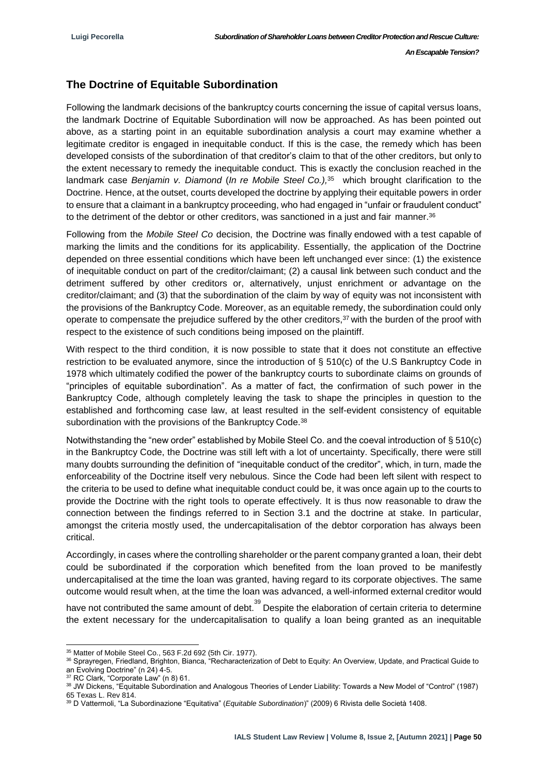*An Escapable Tension?*

### **The Doctrine of Equitable Subordination**

Following the landmark decisions of the bankruptcy courts concerning the issue of capital versus loans, the landmark Doctrine of Equitable Subordination will now be approached. As has been pointed out above, as a starting point in an equitable subordination analysis a court may examine whether a legitimate creditor is engaged in inequitable conduct. If this is the case, the remedy which has been developed consists of the subordination of that creditor's claim to that of the other creditors, but only to the extent necessary to remedy the inequitable conduct. This is exactly the conclusion reached in the landmark case *Benjamin v. Diamond* (*In re Mobile Steel Co.),*<sup>35</sup> which brought clarification to the Doctrine. Hence, at the outset, courts developed the doctrine by applying their equitable powers in order to ensure that a claimant in a bankruptcy proceeding, who had engaged in "unfair or fraudulent conduct" to the detriment of the debtor or other creditors, was sanctioned in a just and fair manner.<sup>36</sup>

Following from the *Mobile Steel Co* decision, the Doctrine was finally endowed with a test capable of marking the limits and the conditions for its applicability. Essentially, the application of the Doctrine depended on three essential conditions which have been left unchanged ever since: (1) the existence of inequitable conduct on part of the creditor/claimant; (2) a causal link between such conduct and the detriment suffered by other creditors or, alternatively, unjust enrichment or advantage on the creditor/claimant; and (3) that the subordination of the claim by way of equity was not inconsistent with the provisions of the Bankruptcy Code. Moreover, as an equitable remedy, the subordination could only operate to compensate the prejudice suffered by the other creditors,<sup>37</sup> with the burden of the proof with respect to the existence of such conditions being imposed on the plaintiff.

With respect to the third condition, it is now possible to state that it does not constitute an effective restriction to be evaluated anymore, since the introduction of § 510(c) of the U.S Bankruptcy Code in 1978 which ultimately codified the power of the bankruptcy courts to subordinate claims on grounds of "principles of equitable subordination". As a matter of fact, the confirmation of such power in the Bankruptcy Code, although completely leaving the task to shape the principles in question to the established and forthcoming case law, at least resulted in the self-evident consistency of equitable subordination with the provisions of the Bankruptcy Code.<sup>38</sup>

Notwithstanding the "new order" established by Mobile Steel Co. and the coeval introduction of § 510(c) in the Bankruptcy Code, the Doctrine was still left with a lot of uncertainty. Specifically, there were still many doubts surrounding the definition of "inequitable conduct of the creditor", which, in turn, made the enforceability of the Doctrine itself very nebulous. Since the Code had been left silent with respect to the criteria to be used to define what inequitable conduct could be, it was once again up to the courts to provide the Doctrine with the right tools to operate effectively. It is thus now reasonable to draw the connection between the findings referred to in Section 3.1 and the doctrine at stake. In particular, amongst the criteria mostly used, the undercapitalisation of the debtor corporation has always been critical.

Accordingly, in cases where the controlling shareholder or the parent company granted a loan, their debt could be subordinated if the corporation which benefited from the loan proved to be manifestly undercapitalised at the time the loan was granted, having regard to its corporate objectives. The same outcome would result when, at the time the loan was advanced, a well-informed external creditor would

have not contributed the same amount of debt.<sup>39</sup> Despite the elaboration of certain criteria to determine the extent necessary for the undercapitalisation to qualify a loan being granted as an inequitable

<sup>1</sup> <sup>35</sup> Matter of Mobile Steel Co., 563 F.2d 692 (5th Cir. 1977).

<sup>36</sup> Sprayregen, Friedland, Brighton, Bianca, "Recharacterization of Debt to Equity: An Overview, Update, and Practical Guide to an Evolving Doctrine" (n 24) 4-5.

<sup>37</sup> RC Clark, "Corporate Law" (n 8) 61.

<sup>38</sup> JW Dickens, "Equitable Subordination and Analogous Theories of Lender Liability: Towards a New Model of "Control" (1987) 65 Texas L. Rev 814.

<sup>39</sup> D Vattermoli, "La Subordinazione "Equitativa" (*Equitable Subordination*)" (2009) 6 Rivista delle Società 1408.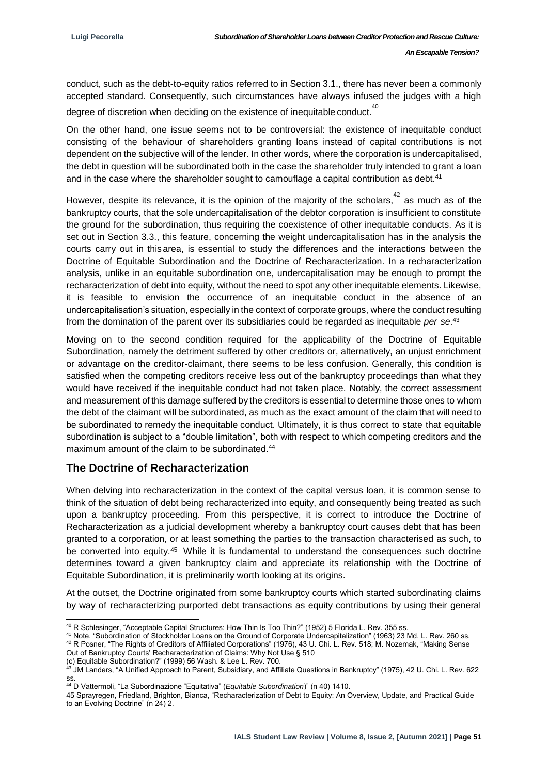conduct, such as the debt-to-equity ratios referred to in Section 3.1., there has never been a commonly accepted standard. Consequently, such circumstances have always infused the judges with a high degree of discretion when deciding on the existence of inequitable conduct.<sup>40</sup>

On the other hand, one issue seems not to be controversial: the existence of inequitable conduct consisting of the behaviour of shareholders granting loans instead of capital contributions is not dependent on the subjective will of the lender. In other words, where the corporation is undercapitalised, the debt in question will be subordinated both in the case the shareholder truly intended to grant a loan and in the case where the shareholder sought to camouflage a capital contribution as debt.<sup>41</sup>

However, despite its relevance, it is the opinion of the majority of the scholars,  $42$  as much as of the bankruptcy courts, that the sole undercapitalisation of the debtor corporation is insufficient to constitute the ground for the subordination, thus requiring the coexistence of other inequitable conducts. As it is set out in Section 3.3., this feature, concerning the weight undercapitalisation has in the analysis the courts carry out in thisarea, is essential to study the differences and the interactions between the Doctrine of Equitable Subordination and the Doctrine of Recharacterization. In a recharacterization analysis, unlike in an equitable subordination one, undercapitalisation may be enough to prompt the recharacterization of debt into equity, without the need to spot any other inequitable elements. Likewise, it is feasible to envision the occurrence of an inequitable conduct in the absence of an undercapitalisation's situation, especially in the context of corporate groups, where the conduct resulting from the domination of the parent over its subsidiaries could be regarded as inequitable *per se*. 43

Moving on to the second condition required for the applicability of the Doctrine of Equitable Subordination, namely the detriment suffered by other creditors or, alternatively, an unjust enrichment or advantage on the creditor-claimant, there seems to be less confusion. Generally, this condition is satisfied when the competing creditors receive less out of the bankruptcy proceedings than what they would have received if the inequitable conduct had not taken place. Notably, the correct assessment and measurement of this damage suffered by the creditors is essential to determine those ones to whom the debt of the claimant will be subordinated, as much as the exact amount of the claim that will need to be subordinated to remedy the inequitable conduct. Ultimately, it is thus correct to state that equitable subordination is subject to a "double limitation", both with respect to which competing creditors and the maximum amount of the claim to be subordinated.<sup>44</sup>

#### **The Doctrine of Recharacterization**

When delving into recharacterization in the context of the capital versus loan, it is common sense to think of the situation of debt being recharacterized into equity, and consequently being treated as such upon a bankruptcy proceeding. From this perspective, it is correct to introduce the Doctrine of Recharacterization as a judicial development whereby a bankruptcy court causes debt that has been granted to a corporation, or at least something the parties to the transaction characterised as such, to be converted into equity.<sup>45</sup> While it is fundamental to understand the consequences such doctrine determines toward a given bankruptcy claim and appreciate its relationship with the Doctrine of Equitable Subordination, it is preliminarily worth looking at its origins.

At the outset, the Doctrine originated from some bankruptcy courts which started subordinating claims by way of recharacterizing purported debt transactions as equity contributions by using their general

<sup>41</sup> Note, "Subordination of Stockholder Loans on the Ground of Corporate Undercapitalization" (1963) 23 Md. L. Rev. 260 ss.

<sup>42</sup> R Posner, "The Rights of Creditors of Affiliated Corporations" (1976), 43 U. Chi. L. Rev. 518; M. Nozemak, "Making Sense Out of Bankruptcy Courts' Recharacterization of Claims: Why Not Use § 510

(c) Equitable Subordination?" (1999) 56 Wash. & Lee L. Rev. 700.

-

45 Sprayregen, Friedland, Brighton, Bianca, "Recharacterization of Debt to Equity: An Overview, Update, and Practical Guide to an Evolving Doctrine" (n 24) 2.

 $^{40}$  R Schlesinger, "Acceptable Capital Structures: How Thin Is Too Thin?" (1952) 5 Florida L. Rev. 355 ss.

<sup>43</sup> JM Landers, "A Unified Approach to Parent, Subsidiary, and Affiliate Questions in Bankruptcy" (1975), 42 U. Chi. L. Rev. 622 ss.

<sup>44</sup> D Vattermoli, "La Subordinazione "Equitativa" (*Equitable Subordination*)" (n 40) 1410.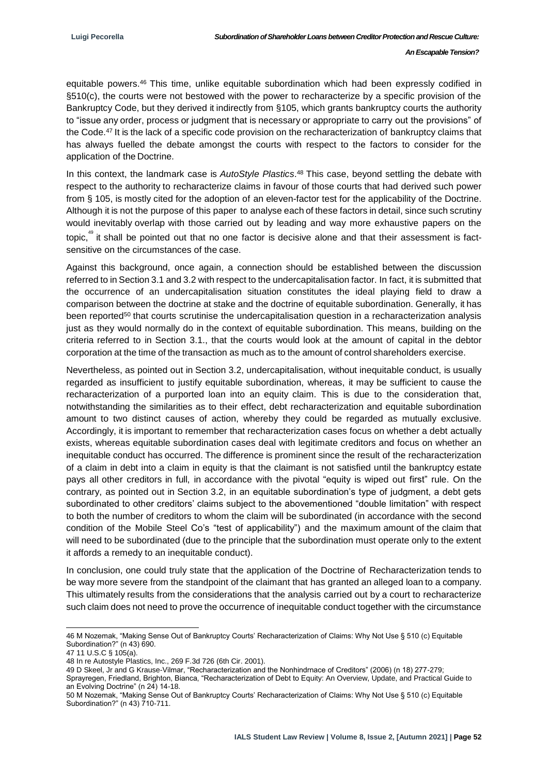equitable powers.<sup>46</sup> This time, unlike equitable subordination which had been expressly codified in §510(c), the courts were not bestowed with the power to recharacterize by a specific provision of the Bankruptcy Code, but they derived it indirectly from §105, which grants bankruptcy courts the authority to "issue any order, process or judgment that is necessary or appropriate to carry out the provisions" of the Code.<sup>47</sup> It is the lack of a specific code provision on the recharacterization of bankruptcy claims that has always fuelled the debate amongst the courts with respect to the factors to consider for the application of the Doctrine.

In this context, the landmark case is *AutoStyle Plastics*. <sup>48</sup> This case, beyond settling the debate with respect to the authority to recharacterize claims in favour of those courts that had derived such power from § 105, is mostly cited for the adoption of an eleven-factor test for the applicability of the Doctrine. Although it is not the purpose of this paper to analyse each of these factors in detail, since such scrutiny would inevitably overlap with those carried out by leading and way more exhaustive papers on the topic,<sup>49</sup> it shall be pointed out that no one factor is decisive alone and that their assessment is factsensitive on the circumstances of the case.

Against this background, once again, a connection should be established between the discussion referred to in Section 3.1 and 3.2 with respect to the undercapitalisation factor. In fact, it is submitted that the occurrence of an undercapitalisation situation constitutes the ideal playing field to draw a comparison between the doctrine at stake and the doctrine of equitable subordination. Generally, it has been reported<sup>50</sup> that courts scrutinise the undercapitalisation question in a recharacterization analysis just as they would normally do in the context of equitable subordination. This means, building on the criteria referred to in Section 3.1., that the courts would look at the amount of capital in the debtor corporation at the time of the transaction as much as to the amount of control shareholders exercise.

Nevertheless, as pointed out in Section 3.2, undercapitalisation, without inequitable conduct, is usually regarded as insufficient to justify equitable subordination, whereas, it may be sufficient to cause the recharacterization of a purported loan into an equity claim. This is due to the consideration that, notwithstanding the similarities as to their effect, debt recharacterization and equitable subordination amount to two distinct causes of action, whereby they could be regarded as mutually exclusive. Accordingly, it is important to remember that recharacterization cases focus on whether a debt actually exists, whereas equitable subordination cases deal with legitimate creditors and focus on whether an inequitable conduct has occurred. The difference is prominent since the result of the recharacterization of a claim in debt into a claim in equity is that the claimant is not satisfied until the bankruptcy estate pays all other creditors in full, in accordance with the pivotal "equity is wiped out first" rule. On the contrary, as pointed out in Section 3.2, in an equitable subordination's type of judgment, a debt gets subordinated to other creditors' claims subject to the abovementioned "double limitation" with respect to both the number of creditors to whom the claim will be subordinated (in accordance with the second condition of the Mobile Steel Co's "test of applicability") and the maximum amount of the claim that will need to be subordinated (due to the principle that the subordination must operate only to the extent it affords a remedy to an inequitable conduct).

In conclusion, one could truly state that the application of the Doctrine of Recharacterization tends to be way more severe from the standpoint of the claimant that has granted an alleged loan to a company. This ultimately results from the considerations that the analysis carried out by a court to recharacterize such claim does not need to prove the occurrence of inequitable conduct together with the circumstance

-

<sup>46</sup> M Nozemak, "Making Sense Out of Bankruptcy Courts' Recharacterization of Claims: Why Not Use § 510 (c) Equitable Subordination?" (n 43) 690.

<sup>47</sup> 11 U.S.C § 105(a).

<sup>48</sup> In re Autostyle Plastics, Inc., 269 F.3d 726 (6th Cir. 2001).

<sup>49</sup> D Skeel, Jr and G Krause-Vilmar, "Recharacterization and the Nonhindrnace of Creditors" (2006) (n 18) 277-279;

Sprayregen, Friedland, Brighton, Bianca, "Recharacterization of Debt to Equity: An Overview, Update, and Practical Guide to an Evolving Doctrine" (n 24) 14-18.

<sup>50</sup> M Nozemak, "Making Sense Out of Bankruptcy Courts' Recharacterization of Claims: Why Not Use § 510 (c) Equitable Subordination?" (n 43) 710-711.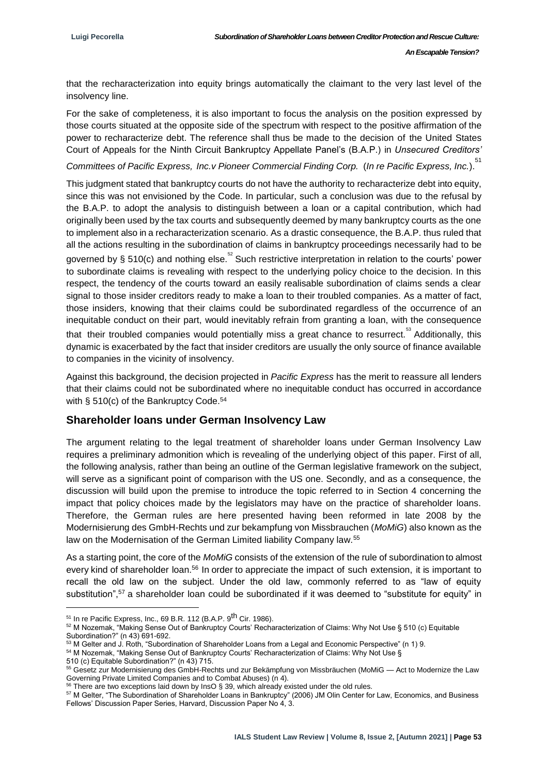that the recharacterization into equity brings automatically the claimant to the very last level of the insolvency line.

For the sake of completeness, it is also important to focus the analysis on the position expressed by those courts situated at the opposite side of the spectrum with respect to the positive affirmation of the power to recharacterize debt. The reference shall thus be made to the decision of the United States Court of Appeals for the Ninth Circuit Bankruptcy Appellate Panel's (B.A.P.) in *Unsecured Creditors'* 

*Committees of Pacific Express, Inc.v Pioneer Commercial Finding Corp.* (*In re Pacific Express, Inc.*). 51

This judgment stated that bankruptcy courts do not have the authority to recharacterize debt into equity, since this was not envisioned by the Code. In particular, such a conclusion was due to the refusal by the B.A.P. to adopt the analysis to distinguish between a loan or a capital contribution, which had originally been used by the tax courts and subsequently deemed by many bankruptcy courts as the one to implement also in a recharacterization scenario. As a drastic consequence, the B.A.P. thus ruled that all the actions resulting in the subordination of claims in bankruptcy proceedings necessarily had to be governed by § 510(c) and nothing else.  $5^{\circ}$  Such restrictive interpretation in relation to the courts' power to subordinate claims is revealing with respect to the underlying policy choice to the decision. In this respect, the tendency of the courts toward an easily realisable subordination of claims sends a clear signal to those insider creditors ready to make a loan to their troubled companies. As a matter of fact, those insiders, knowing that their claims could be subordinated regardless of the occurrence of an inequitable conduct on their part, would inevitably refrain from granting a loan, with the consequence that their troubled companies would potentially miss a great chance to resurrect.<sup>53</sup> Additionally, this dynamic is exacerbated by the fact that insider creditors are usually the only source of finance available to companies in the vicinity of insolvency.

Against this background, the decision projected in *Pacific Express* has the merit to reassure all lenders that their claims could not be subordinated where no inequitable conduct has occurred in accordance with § 510(c) of the Bankruptcy Code.<sup>54</sup>

#### **Shareholder loans under German Insolvency Law**

The argument relating to the legal treatment of shareholder loans under German Insolvency Law requires a preliminary admonition which is revealing of the underlying object of this paper. First of all, the following analysis, rather than being an outline of the German legislative framework on the subject, will serve as a significant point of comparison with the US one. Secondly, and as a consequence, the discussion will build upon the premise to introduce the topic referred to in Section 4 concerning the impact that policy choices made by the legislators may have on the practice of shareholder loans. Therefore, the German rules are here presented having been reformed in late 2008 by the Modernisierung des GmbH-Rechts und zur bekampfung von Missbrauchen (*MoMiG*) also known as the law on the Modernisation of the German Limited liability Company law.<sup>55</sup>

As a starting point, the core of the *MoMiG* consists of the extension of the rule of subordination to almost every kind of shareholder loan.<sup>56</sup> In order to appreciate the impact of such extension, it is important to recall the old law on the subject. Under the old law, commonly referred to as "law of equity substitution",<sup>57</sup> a shareholder loan could be subordinated if it was deemed to "substitute for equity" in

1

 $51$  In re Pacific Express, Inc., 69 B.R. 112 (B.A.P. 9<sup>th</sup> Cir. 1986).

<sup>52</sup> M Nozemak, "Making Sense Out of Bankruptcy Courts' Recharacterization of Claims: Why Not Use § 510 (c) Equitable Subordination?" (n 43) 691-692.

<sup>53</sup> M Gelter and J. Roth, "Subordination of Shareholder Loans from a Legal and Economic Perspective" (n 1) 9.

<sup>54</sup> M Nozemak, "Making Sense Out of Bankruptcy Courts' Recharacterization of Claims: Why Not Use §

<sup>510 (</sup>c) Equitable Subordination?" (n 43) 715.

<sup>55</sup> Gesetz zur Modernisierung des GmbH-Rechts und zur Bekämpfung von Missbräuchen (MoMiG — Act to Modernize the Law Governing Private Limited Companies and to Combat Abuses) (n 4).

 $56$  There are two exceptions laid down by InsO § 39, which already existed under the old rules.

<sup>57</sup> M Gelter, "The Subordination of Shareholder Loans in Bankruptcy" (2006) JM Olin Center for Law, Economics, and Business Fellows' Discussion Paper Series, Harvard, Discussion Paper No 4, 3.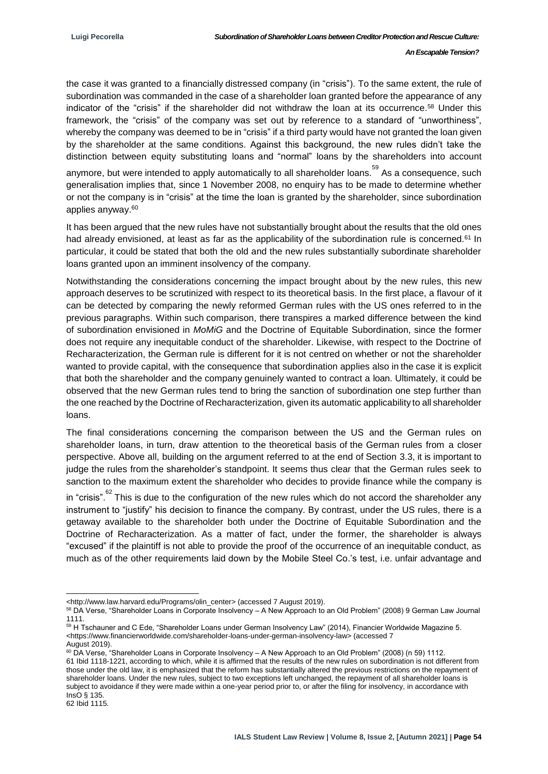the case it was granted to a financially distressed company (in "crisis"). To the same extent, the rule of subordination was commanded in the case of a shareholder loan granted before the appearance of any indicator of the "crisis" if the shareholder did not withdraw the loan at its occurrence.<sup>58</sup> Under this framework, the "crisis" of the company was set out by reference to a standard of "unworthiness", whereby the company was deemed to be in "crisis" if a third party would have not granted the loan given by the shareholder at the same conditions. Against this background, the new rules didn't take the distinction between equity substituting loans and "normal" loans by the shareholders into account

anymore, but were intended to apply automatically to all shareholder loans. 59 As a consequence, such generalisation implies that, since 1 November 2008, no enquiry has to be made to determine whether or not the company is in "crisis" at the time the loan is granted by the shareholder, since subordination applies anyway.<sup>60</sup>

It has been argued that the new rules have not substantially brought about the results that the old ones had already envisioned, at least as far as the applicability of the subordination rule is concerned.<sup>61</sup> In particular, it could be stated that both the old and the new rules substantially subordinate shareholder loans granted upon an imminent insolvency of the company.

Notwithstanding the considerations concerning the impact brought about by the new rules, this new approach deserves to be scrutinized with respect to its theoretical basis. In the first place, a flavour of it can be detected by comparing the newly reformed German rules with the US ones referred to in the previous paragraphs. Within such comparison, there transpires a marked difference between the kind of subordination envisioned in *MoMiG* and the Doctrine of Equitable Subordination, since the former does not require any inequitable conduct of the shareholder. Likewise, with respect to the Doctrine of Recharacterization, the German rule is different for it is not centred on whether or not the shareholder wanted to provide capital, with the consequence that subordination applies also in the case it is explicit that both the shareholder and the company genuinely wanted to contract a loan. Ultimately, it could be observed that the new German rules tend to bring the sanction of subordination one step further than the one reached by the Doctrine of Recharacterization, given its automatic applicability to all shareholder loans.

The final considerations concerning the comparison between the US and the German rules on shareholder loans, in turn, draw attention to the theoretical basis of the German rules from a closer perspective. Above all, building on the argument referred to at the end of Section 3.3, it is important to judge the rules from the shareholder's standpoint. It seems thus clear that the German rules seek to sanction to the maximum extent the shareholder who decides to provide finance while the company is

in "crisis". <sup>62</sup> This is due to the configuration of the new rules which do not accord the shareholder any instrument to "justify" his decision to finance the company. By contrast, under the US rules, there is a getaway available to the shareholder both under the Doctrine of Equitable Subordination and the Doctrine of Recharacterization. As a matter of fact, under the former, the shareholder is always "excused" if the plaintiff is not able to provide the proof of the occurrence of an inequitable conduct, as much as of the other requirements laid down by the Mobile Steel Co.'s test, i.e. unfair advantage and

<sup>1</sup> [<http://www.law.harvard.edu/Programs/olin\\_center>](http://www.law.harvard.edu/Programs/olin_center) (accessed 7 August 2019).

<sup>58</sup> DA Verse, "Shareholder Loans in Corporate Insolvency – A New Approach to an Old Problem" (2008) 9 German Law Journal 1111.

<sup>&</sup>lt;sup>59</sup> H Tschauner and C Ede, "Shareholder Loans under German Insolvency Law" (2014), Financier Worldwide Magazine 5. <https:[//www.financierworldwide.com/shareholder-loans-under-german-insolvency-law>](http://www.financierworldwide.com/shareholder-loans-under-german-insolvency-law) (accessed 7 August 2019).

<sup>&</sup>lt;sup>60</sup> DA Verse, "Shareholder Loans in Corporate Insolvency – A New Approach to an Old Problem" (2008) (n 59) 1112. 61 Ibid 1118-1221, according to which, while it is affirmed that the results of the new rules on subordination is not different from those under the old law, it is emphasized that the reform has substantially altered the previous restrictions on the repayment of shareholder loans. Under the new rules, subject to two exceptions left unchanged, the repayment of all shareholder loans is subject to avoidance if they were made within a one-year period prior to, or after the filing for insolvency, in accordance with  $Ine<sub>0</sub>$  & 135.

<sup>62</sup> Ibid 1115.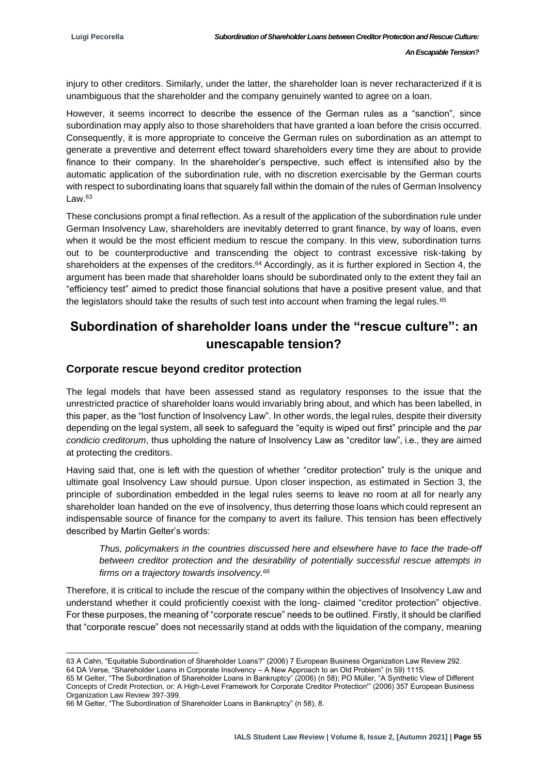injury to other creditors. Similarly, under the latter, the shareholder loan is never recharacterized if it is unambiguous that the shareholder and the company genuinely wanted to agree on a loan.

However, it seems incorrect to describe the essence of the German rules as a "sanction", since subordination may apply also to those shareholders that have granted a loan before the crisis occurred. Consequently, it is more appropriate to conceive the German rules on subordination as an attempt to generate a preventive and deterrent effect toward shareholders every time they are about to provide finance to their company. In the shareholder's perspective, such effect is intensified also by the automatic application of the subordination rule, with no discretion exercisable by the German courts with respect to subordinating loans that squarely fall within the domain of the rules of German Insolvency  $\sqrt{2}$  aw  $63$ 

These conclusions prompt a final reflection. As a result of the application of the subordination rule under German Insolvency Law, shareholders are inevitably deterred to grant finance, by way of loans, even when it would be the most efficient medium to rescue the company. In this view, subordination turns out to be counterproductive and transcending the object to contrast excessive risk-taking by shareholders at the expenses of the creditors.<sup>64</sup> Accordingly, as it is further explored in Section 4, the argument has been made that shareholder loans should be subordinated only to the extent they fail an "efficiency test" aimed to predict those financial solutions that have a positive present value, and that the legislators should take the results of such test into account when framing the legal rules.<sup>65</sup>

# **Subordination of shareholder loans under the "rescue culture": an unescapable tension?**

#### **Corporate rescue beyond creditor protection**

The legal models that have been assessed stand as regulatory responses to the issue that the unrestricted practice of shareholder loans would invariably bring about, and which has been labelled, in this paper, as the "lost function of Insolvency Law". In other words, the legal rules, despite their diversity depending on the legal system, all seek to safeguard the "equity is wiped out first" principle and the *par condicio creditorum*, thus upholding the nature of Insolvency Law as "creditor law", i.e., they are aimed at protecting the creditors.

Having said that, one is left with the question of whether "creditor protection" truly is the unique and ultimate goal Insolvency Law should pursue. Upon closer inspection, as estimated in Section 3, the principle of subordination embedded in the legal rules seems to leave no room at all for nearly any shareholder loan handed on the eve of insolvency, thus deterring those loans which could represent an indispensable source of finance for the company to avert its failure. This tension has been effectively described by Martin Gelter's words:

*Thus, policymakers in the countries discussed here and elsewhere have to face the trade-off between creditor protection and the desirability of potentially successful rescue attempts in firms on a trajectory towards insolvency.<sup>66</sup>*

Therefore, it is critical to include the rescue of the company within the objectives of Insolvency Law and understand whether it could proficiently coexist with the long- claimed "creditor protection" objective. For these purposes, the meaning of "corporate rescue" needs to be outlined. Firstly, it should be clarified that "corporate rescue" does not necessarily stand at odds with the liquidation of the company, meaning

<sup>1</sup> 63 A Cahn, "Equitable Subordination of Shareholder Loans?" (2006) 7 European Business Organization Law Review 292. 64 DA Verse, "Shareholder Loans in Corporate Insolvency – A New Approach to an Old Problem" (n 59) 1115.

<sup>65</sup> M Gelter, "The Subordination of Shareholder Loans in Bankruptcy" (2006) (n 58); PO Müller, "A Synthetic View of Different Concepts of Credit Protection, or: A High-Level Framework for Corporate Creditor Protection'" (2006) 357 European Business Organization Law Review 397-399.

<sup>66</sup> M Gelter, "The Subordination of Shareholder Loans in Bankruptcy" (n 58), 8.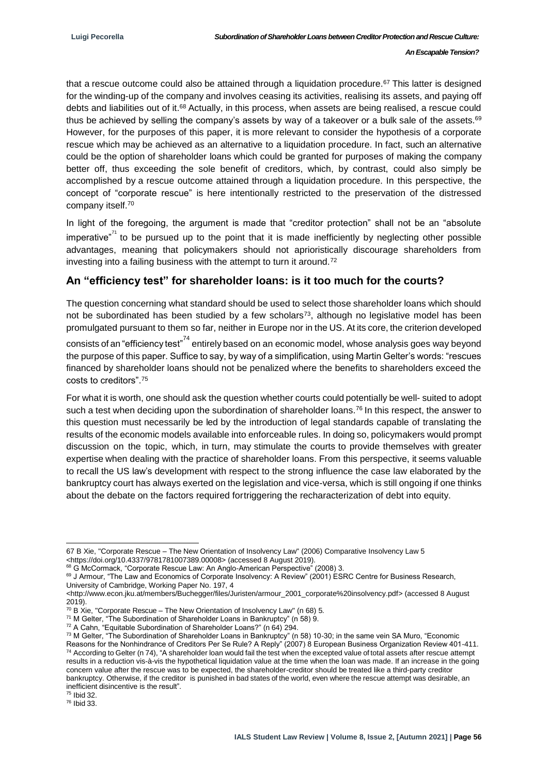that a rescue outcome could also be attained through a liquidation procedure.<sup>67</sup> This latter is designed for the winding-up of the company and involves ceasing its activities, realising its assets, and paying off debts and liabilities out of it.<sup>68</sup> Actually, in this process, when assets are being realised, a rescue could thus be achieved by selling the company's assets by way of a takeover or a bulk sale of the assets.<sup>69</sup> However, for the purposes of this paper, it is more relevant to consider the hypothesis of a corporate rescue which may be achieved as an alternative to a liquidation procedure. In fact, such an alternative could be the option of shareholder loans which could be granted for purposes of making the company better off, thus exceeding the sole benefit of creditors, which, by contrast, could also simply be accomplished by a rescue outcome attained through a liquidation procedure. In this perspective, the concept of "corporate rescue" is here intentionally restricted to the preservation of the distressed company itself.<sup>70</sup>

In light of the foregoing, the argument is made that "creditor protection" shall not be an "absolute imperative"<sup>71</sup> to be pursued up to the point that it is made inefficiently by neglecting other possible advantages, meaning that policymakers should not aprioristically discourage shareholders from investing into a failing business with the attempt to turn it around.<sup>72</sup>

### **An "efficiency test" for shareholder loans: is it too much for the courts?**

The question concerning what standard should be used to select those shareholder loans which should not be subordinated has been studied by a few scholars<sup>73</sup>, although no legislative model has been promulgated pursuant to them so far, neither in Europe nor in the US. At its core, the criterion developed

consists of an "efficiency test"<sup>74</sup> entirely based on an economic model, whose analysis goes way beyond the purpose of this paper. Suffice to say, by way of a simplification, using Martin Gelter's words: "rescues financed by shareholder loans should not be penalized where the benefits to shareholders exceed the costs to creditors".<sup>75</sup>

For what it is worth, one should ask the question whether courts could potentially be well- suited to adopt such a test when deciding upon the subordination of shareholder loans.<sup>76</sup> In this respect, the answer to this question must necessarily be led by the introduction of legal standards capable of translating the results of the economic models available into enforceable rules. In doing so, policymakers would prompt discussion on the topic, which, in turn, may stimulate the courts to provide themselves with greater expertise when dealing with the practice of shareholder loans. From this perspective, it seems valuable to recall the US law's development with respect to the strong influence the case law elaborated by the bankruptcy court has always exerted on the legislation and vice-versa, which is still ongoing if one thinks about the debate on the factors required fortriggering the recharacterization of debt into equity.

<sup>75</sup> Ibid 32.

<sup>76</sup> Ibid 33.

<sup>-</sup>67 B Xie, "Corporate Rescue – The New Orientation of Insolvency Law" (2006) Comparative Insolvency Law 5 <https://doi.org/10.4337/9781781007389.00008> (accessed 8 August 2019).

<sup>68</sup> G McCormack, "Corporate Rescue Law: An Anglo-American Perspective" (2008) 3.

<sup>69</sup> J Armour, "The Law and Economics of Corporate Insolvency: A Review" (2001) ESRC Centre for Business Research, University of Cambridge, Working Paper No. 197, 4

[<sup>&</sup>lt;http://www.econ.jku.at/members/Buchegger/files/Juristen/armour\\_2001\\_corporate%20insolvency.pdf>](http://www.econ.jku.at/members/Buchegger/files/Juristen/armour_2001_corporate%20insolvency.pdf) (accessed 8 August 2019).

 $70$  B Xie, "Corporate Rescue – The New Orientation of Insolvency Law" (n 68) 5.

<sup>71</sup> M Gelter, "The Subordination of Shareholder Loans in Bankruptcy" (n 58) 9.

<sup>72</sup> A Cahn, "Equitable Subordination of Shareholder Loans?" (n 64) 294.

<sup>&</sup>lt;sup>73</sup> M Gelter, "The Subordination of Shareholder Loans in Bankruptcy" (n 58) 10-30; in the same vein SA Muro, "Economic Reasons for the Nonhindrance of Creditors Per Se Rule? A Reply" (2007) 8 European Business Organization Review 401-411.  $74$  According to Gelter (n 74), "A shareholder loan would fail the test when the excepted value of total assets after rescue attempt results in a reduction vis-à-vis the hypothetical liquidation value at the time when the loan was made. If an increase in the going concern value after the rescue was to be expected, the shareholder-creditor should be treated like a third-party creditor bankruptcy. Otherwise, if the creditor is punished in bad states of the world, even where the rescue attempt was desirable, an inefficient disincentive is the result".